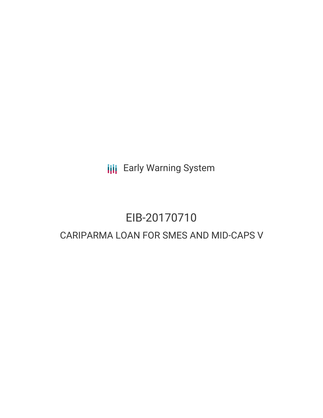**III** Early Warning System

# EIB-20170710

# CARIPARMA LOAN FOR SMES AND MID-CAPS V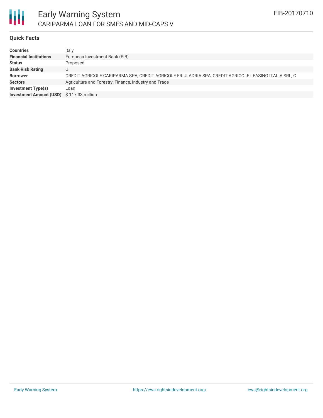

## **Quick Facts**

| <b>Countries</b>                         | Italy                                                                                                |
|------------------------------------------|------------------------------------------------------------------------------------------------------|
| <b>Financial Institutions</b>            | European Investment Bank (EIB)                                                                       |
| <b>Status</b>                            | Proposed                                                                                             |
| <b>Bank Risk Rating</b>                  |                                                                                                      |
| <b>Borrower</b>                          | CREDIT AGRICOLE CARIPARMA SPA, CREDIT AGRICOLE FRIULADRIA SPA, CREDIT AGRICOLE LEASING ITALIA SRL, C |
| <b>Sectors</b>                           | Agriculture and Forestry, Finance, Industry and Trade                                                |
| <b>Investment Type(s)</b>                | Loan                                                                                                 |
| Investment Amount (USD) \$117.33 million |                                                                                                      |
|                                          |                                                                                                      |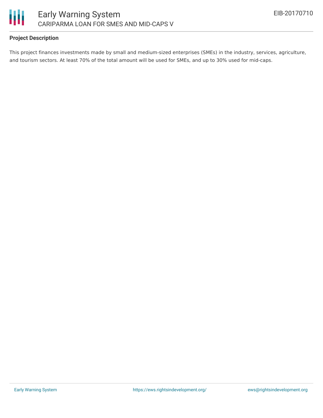

## **Project Description**

This project finances investments made by small and medium-sized enterprises (SMEs) in the industry, services, agriculture, and tourism sectors. At least 70% of the total amount will be used for SMEs, and up to 30% used for mid-caps.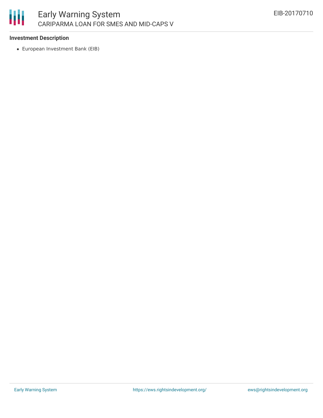

#### **Investment Description**

European Investment Bank (EIB)